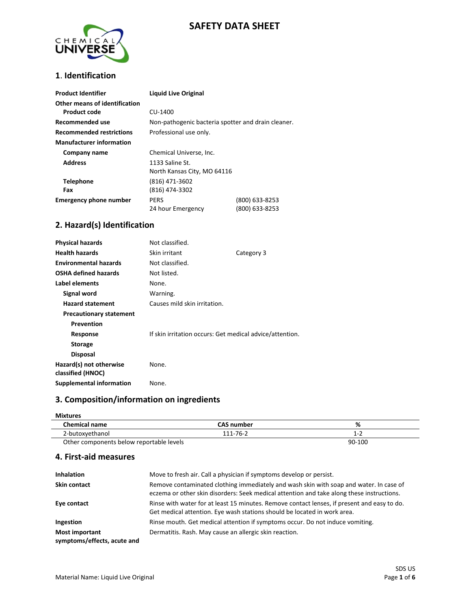## **SAFETY DATA SHEET**



### **1**. **Identification**

| <b>Product Identifier</b>       | <b>Liquid Live Original</b>                        |                |
|---------------------------------|----------------------------------------------------|----------------|
| Other means of identification   |                                                    |                |
| <b>Product code</b>             | CU-1400                                            |                |
| Recommended use                 | Non-pathogenic bacteria spotter and drain cleaner. |                |
| <b>Recommended restrictions</b> | Professional use only.                             |                |
| <b>Manufacturer information</b> |                                                    |                |
| Company name                    | Chemical Universe, Inc.                            |                |
| <b>Address</b>                  | 1133 Saline St.                                    |                |
|                                 | North Kansas City, MO 64116                        |                |
| <b>Telephone</b>                | (816) 471-3602                                     |                |
| Fax                             | (816) 474-3302                                     |                |
| <b>Emergency phone number</b>   | <b>PERS</b>                                        | (800) 633-8253 |
|                                 | 24 hour Emergency                                  | (800) 633-8253 |

### **2. Hazard(s) Identification**

| <b>Physical hazards</b>                      | Not classified.                                          |            |
|----------------------------------------------|----------------------------------------------------------|------------|
| <b>Health hazards</b>                        | Skin irritant                                            | Category 3 |
| <b>Environmental hazards</b>                 | Not classified.                                          |            |
| <b>OSHA defined hazards</b>                  | Not listed.                                              |            |
| Label elements                               | None.                                                    |            |
| Signal word                                  | Warning.                                                 |            |
| <b>Hazard statement</b>                      | Causes mild skin irritation.                             |            |
| <b>Precautionary statement</b>               |                                                          |            |
| <b>Prevention</b>                            |                                                          |            |
| Response                                     | If skin irritation occurs: Get medical advice/attention. |            |
| <b>Storage</b>                               |                                                          |            |
| <b>Disposal</b>                              |                                                          |            |
| Hazard(s) not otherwise<br>classified (HNOC) | None.                                                    |            |
| Supplemental information                     | None.                                                    |            |

## **3. Composition/information on ingredients**

| <b>Mixtures</b>                          |                   |         |  |
|------------------------------------------|-------------------|---------|--|
| <b>Chemical name</b>                     | <b>CAS number</b> | %       |  |
| 2-butoxyethanol                          | 111-76-2          | $1 - 2$ |  |
| Other components below reportable levels |                   | 90-100  |  |

### **4. First-aid measures**

| <b>Inhalation</b>                                    | Move to fresh air. Call a physician if symptoms develop or persist.                                                                                                                 |
|------------------------------------------------------|-------------------------------------------------------------------------------------------------------------------------------------------------------------------------------------|
| <b>Skin contact</b>                                  | Remove contaminated clothing immediately and wash skin with soap and water. In case of<br>eczema or other skin disorders: Seek medical attention and take along these instructions. |
| Eye contact                                          | Rinse with water for at least 15 minutes. Remove contact lenses, if present and easy to do.<br>Get medical attention. Eye wash stations should be located in work area.             |
| Ingestion                                            | Rinse mouth. Get medical attention if symptoms occur. Do not induce vomiting.                                                                                                       |
| <b>Most important</b><br>symptoms/effects, acute and | Dermatitis. Rash. May cause an allergic skin reaction.                                                                                                                              |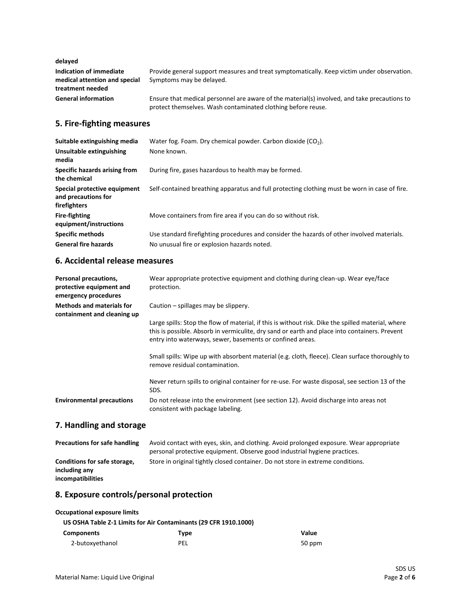**delayed**

| Indication of immediate<br>medical attention and special<br>treatment needed | Provide general support measures and treat symptomatically. Keep victim under observation.<br>Symptoms may be delaved.                                       |
|------------------------------------------------------------------------------|--------------------------------------------------------------------------------------------------------------------------------------------------------------|
| <b>General information</b>                                                   | Ensure that medical personnel are aware of the material(s) involved, and take precautions to<br>protect themselves. Wash contaminated clothing before reuse. |

### **5. Fire-fighting measures**

| Suitable extinguishing media                                        | Water fog. Foam. Dry chemical powder. Carbon dioxide $(CO2)$ .                                |
|---------------------------------------------------------------------|-----------------------------------------------------------------------------------------------|
| Unsuitable extinguishing<br>media                                   | None known.                                                                                   |
| Specific hazards arising from<br>the chemical                       | During fire, gases hazardous to health may be formed.                                         |
| Special protective equipment<br>and precautions for<br>firefighters | Self-contained breathing apparatus and full protecting clothing must be worn in case of fire. |
| <b>Fire-fighting</b><br>equipment/instructions                      | Move containers from fire area if you can do so without risk.                                 |
| <b>Specific methods</b>                                             | Use standard firefighting procedures and consider the hazards of other involved materials.    |
| <b>General fire hazards</b>                                         | No unusual fire or explosion hazards noted.                                                   |

### **6. Accidental release measures**

| Personal precautions,<br>protective equipment and<br>emergency procedures | Wear appropriate protective equipment and clothing during clean-up. Wear eye/face<br>protection.                                                                                                                                                                 |
|---------------------------------------------------------------------------|------------------------------------------------------------------------------------------------------------------------------------------------------------------------------------------------------------------------------------------------------------------|
| <b>Methods and materials for</b><br>containment and cleaning up           | Caution – spillages may be slippery.                                                                                                                                                                                                                             |
|                                                                           | Large spills: Stop the flow of material, if this is without risk. Dike the spilled material, where<br>this is possible. Absorb in vermiculite, dry sand or earth and place into containers. Prevent<br>entry into waterways, sewer, basements or confined areas. |
|                                                                           | Small spills: Wipe up with absorbent material (e.g. cloth, fleece). Clean surface thoroughly to<br>remove residual contamination.                                                                                                                                |
|                                                                           | Never return spills to original container for re-use. For waste disposal, see section 13 of the<br>SDS.                                                                                                                                                          |
| <b>Environmental precautions</b>                                          | Do not release into the environment (see section 12). Avoid discharge into areas not<br>consistent with package labeling.                                                                                                                                        |

# **7. Handling and storage**

| <b>Precautions for safe handling</b>                               | Avoid contact with eyes, skin, and clothing. Avoid prolonged exposure. Wear appropriate<br>personal protective equipment. Observe good industrial hygiene practices. |
|--------------------------------------------------------------------|----------------------------------------------------------------------------------------------------------------------------------------------------------------------|
| Conditions for safe storage,<br>including any<br>incompatibilities | Store in original tightly closed container. Do not store in extreme conditions.                                                                                      |

## **8. Exposure controls/personal protection**

### **Occupational exposure limits**

|                   | US OSHA Table Z-1 Limits for Air Contaminants (29 CFR 1910.1000) |        |
|-------------------|------------------------------------------------------------------|--------|
| <b>Components</b> | Type                                                             | Value  |
| 2-butoxyethanol   | <b>PEL</b>                                                       | 50 ppm |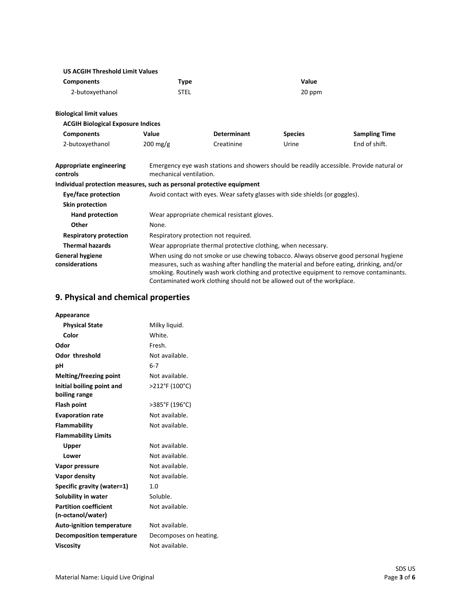| <b>US ACGIH Threshold Limit Values</b>                                |                                                                                                                                                                                                                                                                                                                                                       |                                                                              |                |                                                                                          |
|-----------------------------------------------------------------------|-------------------------------------------------------------------------------------------------------------------------------------------------------------------------------------------------------------------------------------------------------------------------------------------------------------------------------------------------------|------------------------------------------------------------------------------|----------------|------------------------------------------------------------------------------------------|
| <b>Components</b>                                                     | Type                                                                                                                                                                                                                                                                                                                                                  |                                                                              | Value          |                                                                                          |
| 2-butoxyethanol                                                       | <b>STEL</b>                                                                                                                                                                                                                                                                                                                                           |                                                                              | 20 ppm         |                                                                                          |
| <b>Biological limit values</b>                                        |                                                                                                                                                                                                                                                                                                                                                       |                                                                              |                |                                                                                          |
| <b>ACGIH Biological Exposure Indices</b>                              |                                                                                                                                                                                                                                                                                                                                                       |                                                                              |                |                                                                                          |
| <b>Components</b>                                                     | Value                                                                                                                                                                                                                                                                                                                                                 | <b>Determinant</b>                                                           | <b>Species</b> | <b>Sampling Time</b>                                                                     |
| 2-butoxyethanol                                                       | $200$ mg/g                                                                                                                                                                                                                                                                                                                                            | Creatinine                                                                   | Urine          | End of shift.                                                                            |
| <b>Appropriate engineering</b><br>controls                            | mechanical ventilation.                                                                                                                                                                                                                                                                                                                               |                                                                              |                | Emergency eye wash stations and showers should be readily accessible. Provide natural or |
| Individual protection measures, such as personal protective equipment |                                                                                                                                                                                                                                                                                                                                                       |                                                                              |                |                                                                                          |
| Eye/face protection                                                   |                                                                                                                                                                                                                                                                                                                                                       | Avoid contact with eyes. Wear safety glasses with side shields (or goggles). |                |                                                                                          |
| Skin protection                                                       |                                                                                                                                                                                                                                                                                                                                                       |                                                                              |                |                                                                                          |
| Hand protection                                                       |                                                                                                                                                                                                                                                                                                                                                       | Wear appropriate chemical resistant gloves.                                  |                |                                                                                          |
| Other                                                                 | None.                                                                                                                                                                                                                                                                                                                                                 |                                                                              |                |                                                                                          |
| <b>Respiratory protection</b>                                         | Respiratory protection not required.                                                                                                                                                                                                                                                                                                                  |                                                                              |                |                                                                                          |
| <b>Thermal hazards</b>                                                |                                                                                                                                                                                                                                                                                                                                                       | Wear appropriate thermal protective clothing, when necessary.                |                |                                                                                          |
| <b>General hygiene</b><br>considerations                              | When using do not smoke or use chewing tobacco. Always observe good personal hygiene<br>measures, such as washing after handling the material and before eating, drinking, and/or<br>smoking. Routinely wash work clothing and protective equipment to remove contaminants.<br>Contaminated work clothing should not be allowed out of the workplace. |                                                                              |                |                                                                                          |

## **9. Physical and chemical properties**

| Appearance                       |                        |
|----------------------------------|------------------------|
| <b>Physical State</b>            | Milky liquid.          |
| Color                            | White.                 |
| Odor                             | Fresh.                 |
| <b>Odor threshold</b>            | Not available.         |
| рH                               | $6 - 7$                |
| Melting/freezing point           | Not available.         |
| Initial boiling point and        | >212°F (100°C)         |
| boiling range                    |                        |
| <b>Flash point</b>               | >385°F (196°C)         |
| <b>Evaporation rate</b>          | Not available.         |
| Flammability                     | Not available.         |
| <b>Flammability Limits</b>       |                        |
| Upper                            | Not available.         |
| Lower                            | Not available.         |
| Vapor pressure                   | Not available.         |
| Vapor density                    | Not available.         |
| Specific gravity (water=1)       | 1. $\Omega$            |
| Solubility in water              | Soluble.               |
| <b>Partition coefficient</b>     | Not available.         |
| (n-octanol/water)                |                        |
| <b>Auto-ignition temperature</b> | Not available.         |
| <b>Decomposition temperature</b> | Decomposes on heating. |
| <b>Viscosity</b>                 | Not available.         |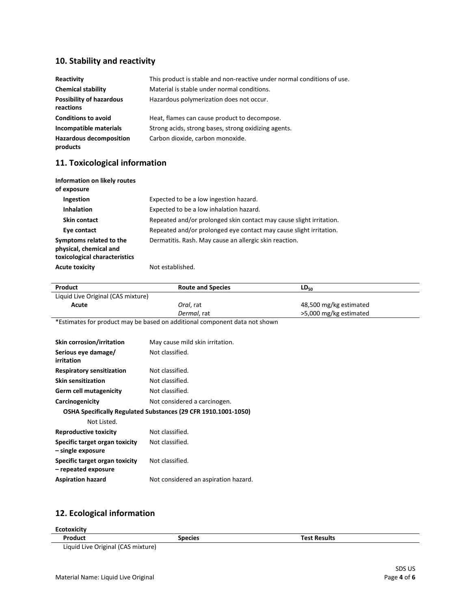## **10. Stability and reactivity**

| Reactivity                                   | This product is stable and non-reactive under normal conditions of use. |
|----------------------------------------------|-------------------------------------------------------------------------|
| <b>Chemical stability</b>                    | Material is stable under normal conditions.                             |
| <b>Possibility of hazardous</b><br>reactions | Hazardous polymerization does not occur.                                |
| <b>Conditions to avoid</b>                   | Heat, flames can cause product to decompose.                            |
| Incompatible materials                       | Strong acids, strong bases, strong oxidizing agents.                    |
| <b>Hazardous decomposition</b><br>products   | Carbon dioxide, carbon monoxide.                                        |

## **11. Toxicological information**

| Information on likely routes<br>of exposure                                        |                                                                     |
|------------------------------------------------------------------------------------|---------------------------------------------------------------------|
| Ingestion                                                                          | Expected to be a low ingestion hazard.                              |
| <b>Inhalation</b>                                                                  | Expected to be a low inhalation hazard.                             |
| <b>Skin contact</b>                                                                | Repeated and/or prolonged skin contact may cause slight irritation. |
| Eye contact                                                                        | Repeated and/or prolonged eye contact may cause slight irritation.  |
| Symptoms related to the<br>physical, chemical and<br>toxicological characteristics | Dermatitis. Rash. May cause an allergic skin reaction.              |
| <b>Acute toxicity</b>                                                              | Not established.                                                    |

| Product                                                                    | <b>Route and Species</b>                                       | $LD_{50}$              |
|----------------------------------------------------------------------------|----------------------------------------------------------------|------------------------|
| Liquid Live Original (CAS mixture)                                         |                                                                |                        |
| Acute                                                                      | Oral, rat                                                      | 48,500 mg/kg estimated |
|                                                                            | Dermal, rat                                                    | >5,000 mg/kg estimated |
| *Estimates for product may be based on additional component data not shown |                                                                |                        |
|                                                                            |                                                                |                        |
| Skin corrosion/irritation                                                  | May cause mild skin irritation.                                |                        |
| Serious eye damage/<br>irritation                                          | Not classified.                                                |                        |
| <b>Respiratory sensitization</b>                                           | Not classified.                                                |                        |
| <b>Skin sensitization</b>                                                  | Not classified.                                                |                        |
| <b>Germ cell mutagenicity</b>                                              | Not classified.                                                |                        |
| Carcinogenicity                                                            | Not considered a carcinogen.                                   |                        |
|                                                                            | OSHA Specifically Regulated Substances (29 CFR 1910.1001-1050) |                        |
| Not Listed.                                                                |                                                                |                        |
| <b>Reproductive toxicity</b>                                               | Not classified.                                                |                        |
| Specific target organ toxicity<br>- single exposure                        | Not classified.                                                |                        |
| Specific target organ toxicity<br>- repeated exposure                      | Not classified.                                                |                        |
| <b>Aspiration hazard</b>                                                   | Not considered an aspiration hazard.                           |                        |
|                                                                            |                                                                |                        |

## **12. Ecological information**

| <b>Ecotoxicity</b> |                |                     |
|--------------------|----------------|---------------------|
| Product            | <b>Species</b> | <b>Test Results</b> |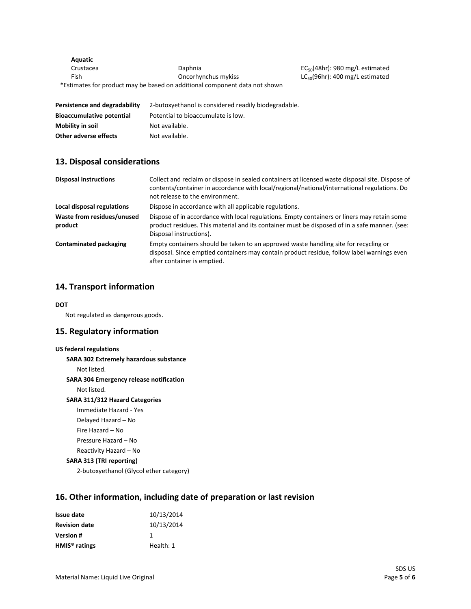| Aquatic   |                                                                            |                                      |
|-----------|----------------------------------------------------------------------------|--------------------------------------|
| Crustacea | Daphnia                                                                    | $EC_{50}(48hr)$ : 980 mg/L estimated |
| Fish      | Oncorhynchus mykiss                                                        | $LC_{50}(96hr)$ : 400 mg/L estimated |
|           | *Estimates for product may be based on additional component data not shown |                                      |
|           |                                                                            |                                      |
|           |                                                                            |                                      |

| Persistence and degradability    | 2-butoxyethanol is considered readily biodegradable. |
|----------------------------------|------------------------------------------------------|
| <b>Bioaccumulative potential</b> | Potential to bioaccumulate is low.                   |
| Mobility in soil                 | Not available.                                       |
| Other adverse effects            | Not available.                                       |

### **13. Disposal considerations**

| <b>Disposal instructions</b>          | Collect and reclaim or dispose in sealed containers at licensed waste disposal site. Dispose of<br>contents/container in accordance with local/regional/national/international regulations. Do<br>not release to the environment. |
|---------------------------------------|-----------------------------------------------------------------------------------------------------------------------------------------------------------------------------------------------------------------------------------|
| Local disposal regulations            | Dispose in accordance with all applicable regulations.                                                                                                                                                                            |
| Waste from residues/unused<br>product | Dispose of in accordance with local regulations. Empty containers or liners may retain some<br>product residues. This material and its container must be disposed of in a safe manner. (see:<br>Disposal instructions).           |
| <b>Contaminated packaging</b>         | Empty containers should be taken to an approved waste handling site for recycling or<br>disposal. Since emptied containers may contain product residue, follow label warnings even<br>after container is emptied.                 |

### **14. Transport information**

#### **DOT**

Not regulated as dangerous goods.

### **15. Regulatory information**

## **US federal regulations** . **SARA 302 Extremely hazardous substance** Not listed. **SARA 304 Emergency release notification** Not listed. **SARA 311/312 Hazard Categories** Immediate Hazard - Yes Delayed Hazard – No Fire Hazard – No Pressure Hazard – No Reactivity Hazard – No **SARA 313 (TRI reporting)** 2-butoxyethanol (Glycol ether category)

## **16. Other information, including date of preparation or last revision**

| <b>Issue date</b>    | 10/13/2014 |
|----------------------|------------|
| <b>Revision date</b> | 10/13/2014 |
| <b>Version#</b>      | 1          |
| $HMIS®$ ratings      | Health: 1  |